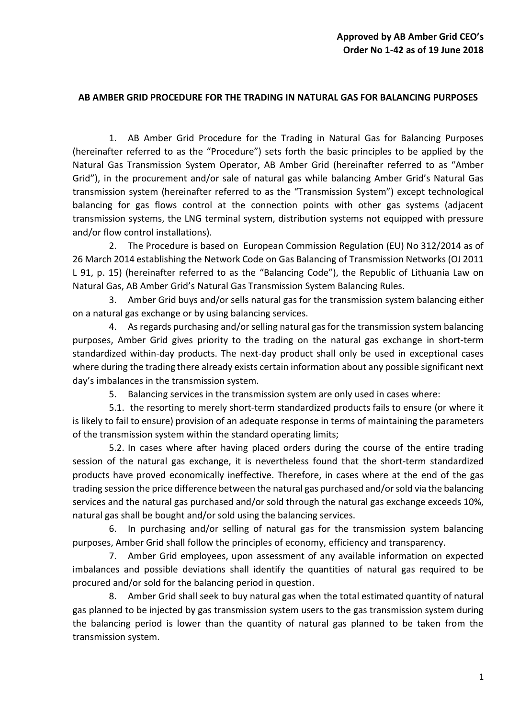## **AB AMBER GRID PROCEDURE FOR THE TRADING IN NATURAL GAS FOR BALANCING PURPOSES**

1. AB Amber Grid Procedure for the Trading in Natural Gas for Balancing Purposes (hereinafter referred to as the "Procedure") sets forth the basic principles to be applied by the Natural Gas Transmission System Operator, AB Amber Grid (hereinafter referred to as "Amber Grid"), in the procurement and/or sale of natural gas while balancing Amber Grid's Natural Gas transmission system (hereinafter referred to as the "Transmission System") except technological balancing for gas flows control at the connection points with other gas systems (adjacent transmission systems, the LNG terminal system, distribution systems not equipped with pressure and/or flow control installations).

2. The Procedure is based on European Commission Regulation (EU) No 312/2014 as of 26 March 2014 establishing the Network Code on Gas Balancing of Transmission Networks (OJ 2011 L 91, p. 15) (hereinafter referred to as the "Balancing Code"), the Republic of Lithuania Law on Natural Gas, AB Amber Grid's Natural Gas Transmission System Balancing Rules.

3. Amber Grid buys and/or sells natural gas for the transmission system balancing either on a natural gas exchange or by using balancing services.

4. As regards purchasing and/or selling natural gas for the transmission system balancing purposes, Amber Grid gives priority to the trading on the natural gas exchange in short-term standardized within-day products. The next-day product shall only be used in exceptional cases where during the trading there already exists certain information about any possible significant next day's imbalances in the transmission system.

5. Balancing services in the transmission system are only used in cases where:

5.1. the resorting to merely short-term standardized products fails to ensure (or where it is likely to fail to ensure) provision of an adequate response in terms of maintaining the parameters of the transmission system within the standard operating limits;

5.2. In cases where after having placed orders during the course of the entire trading session of the natural gas exchange, it is nevertheless found that the short-term standardized products have proved economically ineffective. Therefore, in cases where at the end of the gas trading session the price difference between the natural gas purchased and/or sold via the balancing services and the natural gas purchased and/or sold through the natural gas exchange exceeds 10%, natural gas shall be bought and/or sold using the balancing services.

6. In purchasing and/or selling of natural gas for the transmission system balancing purposes, Amber Grid shall follow the principles of economy, efficiency and transparency.

7. Amber Grid employees, upon assessment of any available information on expected imbalances and possible deviations shall identify the quantities of natural gas required to be procured and/or sold for the balancing period in question.

8. Amber Grid shall seek to buy natural gas when the total estimated quantity of natural gas planned to be injected by gas transmission system users to the gas transmission system during the balancing period is lower than the quantity of natural gas planned to be taken from the transmission system.